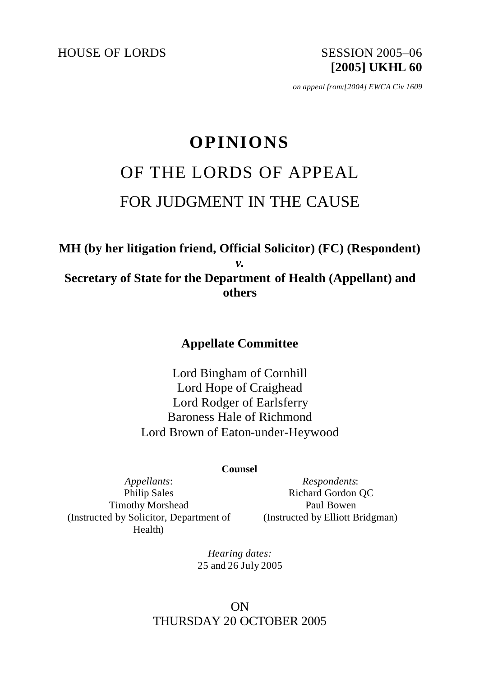HOUSE OF LORDS SESSION 2005-06

**[2005] UKHL 60**

*on appeal from:[2004] EWCA Civ 1609*

# **OPINIONS** OF THE LORDS OF APPEAL FOR JUDGMENT IN THE CAUSE

# **MH (by her litigation friend, Official Solicitor) (FC) (Respondent)**  *v.* **Secretary of State for the Department of Health (Appellant) and others**

# **Appellate Committee**

Lord Bingham of Cornhill Lord Hope of Craighead Lord Rodger of Earlsferry Baroness Hale of Richmond Lord Brown of Eaton-under-Heywood

#### **Counsel**

*Appellants*: Philip Sales Timothy Morshead (Instructed by Solicitor, Department of Health)

*Respondents*: Richard Gordon QC Paul Bowen (Instructed by Elliott Bridgman)

*Hearing dates:* 25 and 26 July 2005

# ON THURSDAY 20 OCTOBER 2005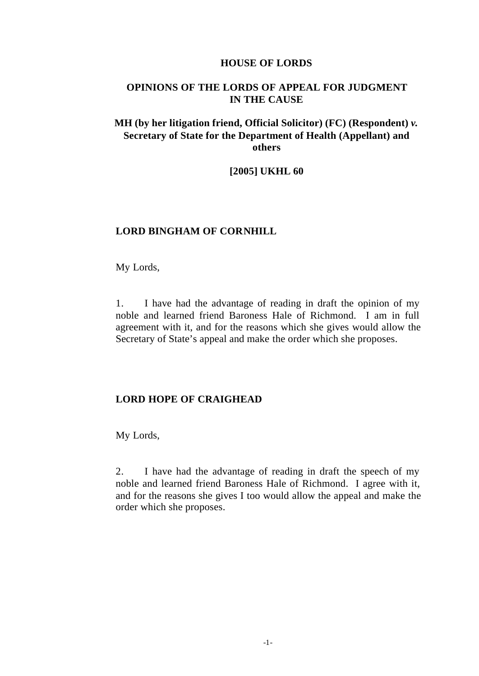#### **HOUSE OF LORDS**

## **OPINIONS OF THE LORDS OF APPEAL FOR JUDGMENT IN THE CAUSE**

## **MH (by her litigation friend, Official Solicitor) (FC) (Respondent)** *v.* **Secretary of State for the Department of Health (Appellant) and others**

#### **[2005] UKHL 60**

#### **LORD BINGHAM OF CORNHILL**

My Lords,

1. I have had the advantage of reading in draft the opinion of my noble and learned friend Baroness Hale of Richmond. I am in full agreement with it, and for the reasons which she gives would allow the Secretary of State's appeal and make the order which she proposes.

#### **LORD HOPE OF CRAIGHEAD**

My Lords,

2. I have had the advantage of reading in draft the speech of my noble and learned friend Baroness Hale of Richmond. I agree with it, and for the reasons she gives I too would allow the appeal and make the order which she proposes.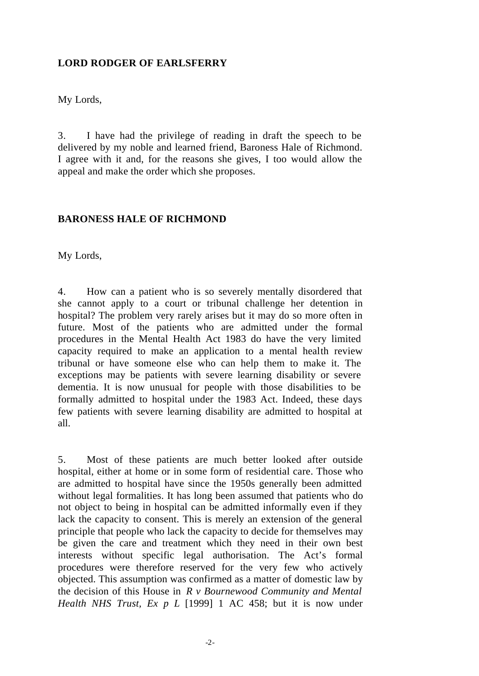## **LORD RODGER OF EARLSFERRY**

My Lords,

3. I have had the privilege of reading in draft the speech to be delivered by my noble and learned friend, Baroness Hale of Richmond. I agree with it and, for the reasons she gives, I too would allow the appeal and make the order which she proposes.

#### **BARONESS HALE OF RICHMOND**

My Lords,

4. How can a patient who is so severely mentally disordered that she cannot apply to a court or tribunal challenge her detention in hospital? The problem very rarely arises but it may do so more often in future. Most of the patients who are admitted under the formal procedures in the Mental Health Act 1983 do have the very limited capacity required to make an application to a mental health review tribunal or have someone else who can help them to make it. The exceptions may be patients with severe learning disability or severe dementia. It is now unusual for people with those disabilities to be formally admitted to hospital under the 1983 Act. Indeed, these days few patients with severe learning disability are admitted to hospital at all.

5. Most of these patients are much better looked after outside hospital, either at home or in some form of residential care. Those who are admitted to hospital have since the 1950s generally been admitted without legal formalities. It has long been assumed that patients who do not object to being in hospital can be admitted informally even if they lack the capacity to consent. This is merely an extension of the general principle that people who lack the capacity to decide for themselves may be given the care and treatment which they need in their own best interests without specific legal authorisation. The Act's formal procedures were therefore reserved for the very few who actively objected. This assumption was confirmed as a matter of domestic law by the decision of this House in *R v Bournewood Community and Mental Health NHS Trust, Ex p L* [1999] 1 AC 458; but it is now under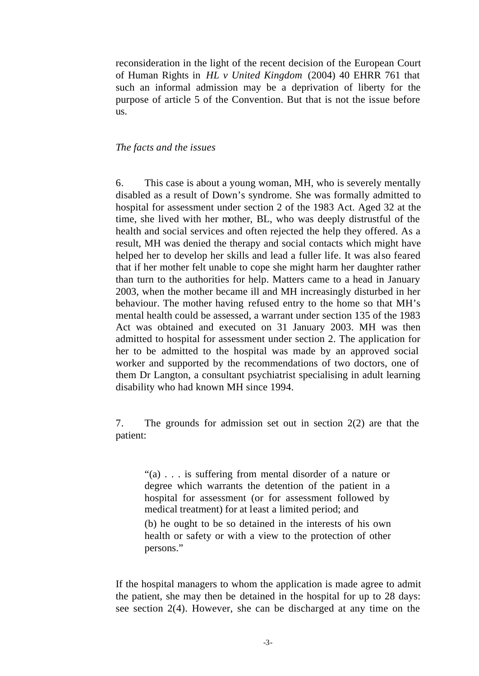reconsideration in the light of the recent decision of the European Court of Human Rights in *HL v United Kingdom* (2004) 40 EHRR 761 that such an informal admission may be a deprivation of liberty for the purpose of article 5 of the Convention. But that is not the issue before us.

#### *The facts and the issues*

6. This case is about a young woman, MH, who is severely mentally disabled as a result of Down's syndrome. She was formally admitted to hospital for assessment under section 2 of the 1983 Act. Aged 32 at the time, she lived with her mother, BL, who was deeply distrustful of the health and social services and often rejected the help they offered. As a result, MH was denied the therapy and social contacts which might have helped her to develop her skills and lead a fuller life. It was also feared that if her mother felt unable to cope she might harm her daughter rather than turn to the authorities for help. Matters came to a head in January 2003, when the mother became ill and MH increasingly disturbed in her behaviour. The mother having refused entry to the home so that MH's mental health could be assessed, a warrant under section 135 of the 1983 Act was obtained and executed on 31 January 2003. MH was then admitted to hospital for assessment under section 2. The application for her to be admitted to the hospital was made by an approved social worker and supported by the recommendations of two doctors, one of them Dr Langton, a consultant psychiatrist specialising in adult learning disability who had known MH since 1994.

7. The grounds for admission set out in section 2(2) are that the patient:

"(a) . . . is suffering from mental disorder of a nature or degree which warrants the detention of the patient in a hospital for assessment (or for assessment followed by medical treatment) for at least a limited period; and (b) he ought to be so detained in the interests of his own health or safety or with a view to the protection of other persons."

If the hospital managers to whom the application is made agree to admit the patient, she may then be detained in the hospital for up to 28 days: see section 2(4). However, she can be discharged at any time on the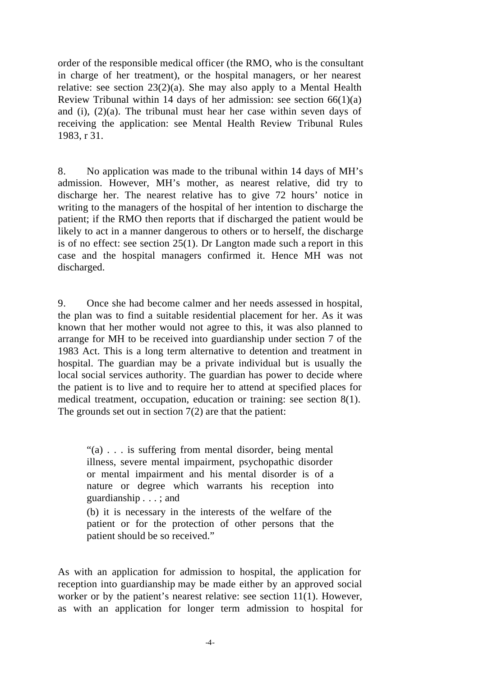order of the responsible medical officer (the RMO, who is the consultant in charge of her treatment), or the hospital managers, or her nearest relative: see section  $23(2)(a)$ . She may also apply to a Mental Health Review Tribunal within 14 days of her admission: see section  $66(1)(a)$ and (i), (2)(a). The tribunal must hear her case within seven days of receiving the application: see Mental Health Review Tribunal Rules 1983, r 31.

8. No application was made to the tribunal within 14 days of MH's admission. However, MH's mother, as nearest relative, did try to discharge her. The nearest relative has to give 72 hours' notice in writing to the managers of the hospital of her intention to discharge the patient; if the RMO then reports that if discharged the patient would be likely to act in a manner dangerous to others or to herself, the discharge is of no effect: see section  $25(1)$ . Dr Langton made such a report in this case and the hospital managers confirmed it. Hence MH was not discharged.

9. Once she had become calmer and her needs assessed in hospital, the plan was to find a suitable residential placement for her. As it was known that her mother would not agree to this, it was also planned to arrange for MH to be received into guardianship under section 7 of the 1983 Act. This is a long term alternative to detention and treatment in hospital. The guardian may be a private individual but is usually the local social services authority. The guardian has power to decide where the patient is to live and to require her to attend at specified places for medical treatment, occupation, education or training: see section 8(1). The grounds set out in section 7(2) are that the patient:

"(a) . . . is suffering from mental disorder, being mental illness, severe mental impairment, psychopathic disorder or mental impairment and his mental disorder is of a nature or degree which warrants his reception into guardianship . . . ; and

(b) it is necessary in the interests of the welfare of the patient or for the protection of other persons that the patient should be so received."

As with an application for admission to hospital, the application for reception into guardianship may be made either by an approved social worker or by the patient's nearest relative: see section 11(1). However, as with an application for longer term admission to hospital for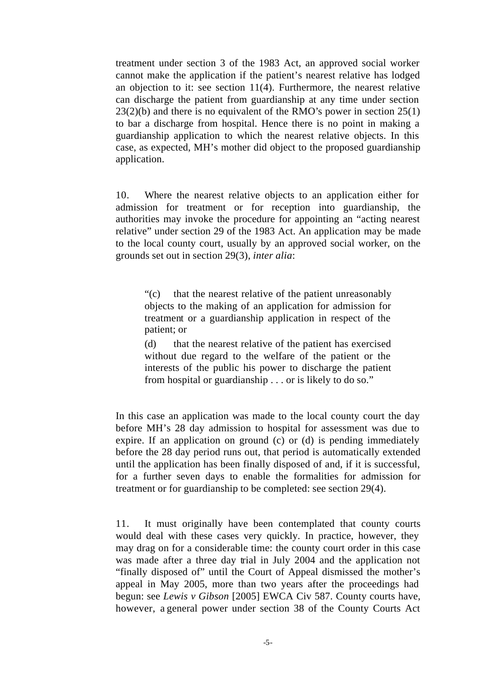treatment under section 3 of the 1983 Act, an approved social worker cannot make the application if the patient's nearest relative has lodged an objection to it: see section 11(4). Furthermore, the nearest relative can discharge the patient from guardianship at any time under section  $23(2)(b)$  and there is no equivalent of the RMO's power in section  $25(1)$ to bar a discharge from hospital. Hence there is no point in making a guardianship application to which the nearest relative objects. In this case, as expected, MH's mother did object to the proposed guardianship application.

10. Where the nearest relative objects to an application either for admission for treatment or for reception into guardianship, the authorities may invoke the procedure for appointing an "acting nearest relative" under section 29 of the 1983 Act. An application may be made to the local county court, usually by an approved social worker, on the grounds set out in section 29(3), *inter alia*:

"(c) that the nearest relative of the patient unreasonably objects to the making of an application for admission for treatment or a guardianship application in respect of the patient; or

(d) that the nearest relative of the patient has exercised without due regard to the welfare of the patient or the interests of the public his power to discharge the patient from hospital or guardianship . . . or is likely to do so."

In this case an application was made to the local county court the day before MH's 28 day admission to hospital for assessment was due to expire. If an application on ground (c) or (d) is pending immediately before the 28 day period runs out, that period is automatically extended until the application has been finally disposed of and, if it is successful, for a further seven days to enable the formalities for admission for treatment or for guardianship to be completed: see section 29(4).

11. It must originally have been contemplated that county courts would deal with these cases very quickly. In practice, however, they may drag on for a considerable time: the county court order in this case was made after a three day trial in July 2004 and the application not "finally disposed of" until the Court of Appeal dismissed the mother's appeal in May 2005, more than two years after the proceedings had begun: see *Lewis v Gibson* [2005] EWCA Civ 587. County courts have, however, a general power under section 38 of the County Courts Act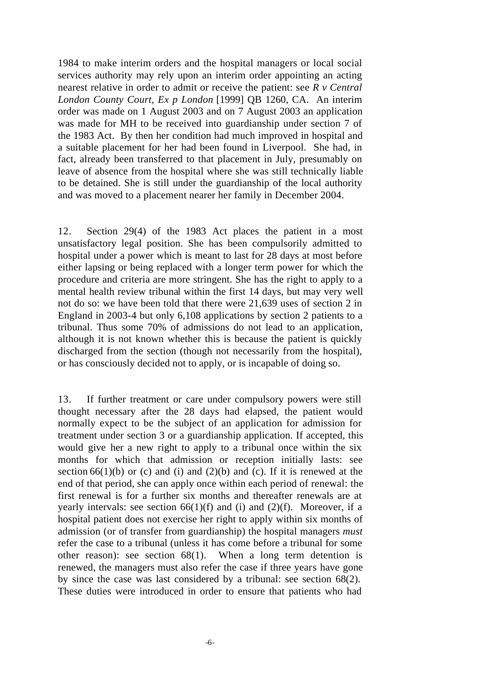1984 to make interim orders and the hospital managers or local social services authority may rely upon an interim order appointing an acting nearest relative in order to admit or receive the patient: see *R v Central London County Court, Ex p London* [1999] QB 1260, CA. An interim order was made on 1 August 2003 and on 7 August 2003 an application was made for MH to be received into guardianship under section 7 of the 1983 Act. By then her condition had much improved in hospital and a suitable placement for her had been found in Liverpool. She had, in fact, already been transferred to that placement in July, presumably on leave of absence from the hospital where she was still technically liable to be detained. She is still under the guardianship of the local authority and was moved to a placement nearer her family in December 2004.

12. Section 29(4) of the 1983 Act places the patient in a most unsatisfactory legal position. She has been compulsorily admitted to hospital under a power which is meant to last for 28 days at most before either lapsing or being replaced with a longer term power for which the procedure and criteria are more stringent. She has the right to apply to a mental health review tribunal within the first 14 days, but may very well not do so: we have been told that there were 21,639 uses of section 2 in England in 2003-4 but only 6,108 applications by section 2 patients to a tribunal. Thus some 70% of admissions do not lead to an application, although it is not known whether this is because the patient is quickly discharged from the section (though not necessarily from the hospital), or has consciously decided not to apply, or is incapable of doing so.

13. If further treatment or care under compulsory powers were still thought necessary after the 28 days had elapsed, the patient would normally expect to be the subject of an application for admission for treatment under section 3 or a guardianship application. If accepted, this would give her a new right to apply to a tribunal once within the six months for which that admission or reception initially lasts: see section  $66(1)(b)$  or (c) and (i) and (2)(b) and (c). If it is renewed at the end of that period, she can apply once within each period of renewal: the first renewal is for a further six months and thereafter renewals are at yearly intervals: see section  $66(1)(f)$  and (i) and (2)(f). Moreover, if a hospital patient does not exercise her right to apply within six months of admission (or of transfer from guardianship) the hospital managers *must* refer the case to a tribunal (unless it has come before a tribunal for some other reason): see section 68(1). When a long term detention is renewed, the managers must also refer the case if three years have gone by since the case was last considered by a tribunal: see section 68(2). These duties were introduced in order to ensure that patients who had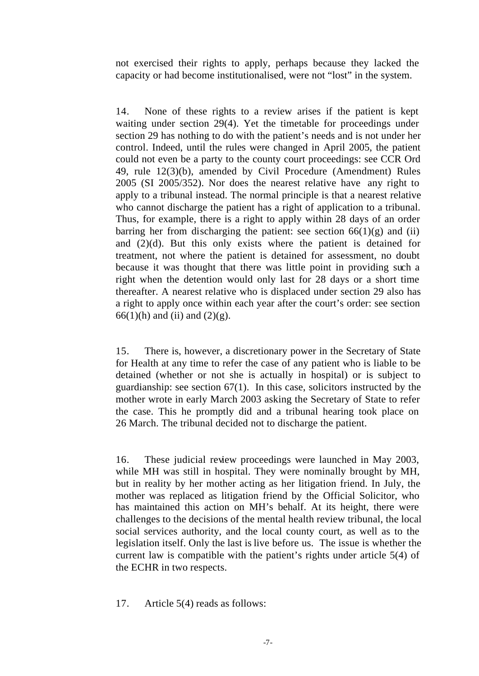not exercised their rights to apply, perhaps because they lacked the capacity or had become institutionalised, were not "lost" in the system.

14. None of these rights to a review arises if the patient is kept waiting under section 29(4). Yet the timetable for proceedings under section 29 has nothing to do with the patient's needs and is not under her control. Indeed, until the rules were changed in April 2005, the patient could not even be a party to the county court proceedings: see CCR Ord 49, rule 12(3)(b), amended by Civil Procedure (Amendment) Rules 2005 (SI 2005/352). Nor does the nearest relative have any right to apply to a tribunal instead. The normal principle is that a nearest relative who cannot discharge the patient has a right of application to a tribunal. Thus, for example, there is a right to apply within 28 days of an order barring her from discharging the patient: see section  $66(1)(g)$  and (ii) and (2)(d). But this only exists where the patient is detained for treatment, not where the patient is detained for assessment, no doubt because it was thought that there was little point in providing such a right when the detention would only last for 28 days or a short time thereafter. A nearest relative who is displaced under section 29 also has a right to apply once within each year after the court's order: see section 66(1)(h) and (ii) and (2)(g).

15. There is, however, a discretionary power in the Secretary of State for Health at any time to refer the case of any patient who is liable to be detained (whether or not she is actually in hospital) or is subject to guardianship: see section  $67(1)$ . In this case, solicitors instructed by the mother wrote in early March 2003 asking the Secretary of State to refer the case. This he promptly did and a tribunal hearing took place on 26 March. The tribunal decided not to discharge the patient.

16. These judicial review proceedings were launched in May 2003, while MH was still in hospital. They were nominally brought by MH, but in reality by her mother acting as her litigation friend. In July, the mother was replaced as litigation friend by the Official Solicitor, who has maintained this action on MH's behalf. At its height, there were challenges to the decisions of the mental health review tribunal, the local social services authority, and the local county court, as well as to the legislation itself. Only the last is live before us. The issue is whether the current law is compatible with the patient's rights under article 5(4) of the ECHR in two respects.

17. Article 5(4) reads as follows: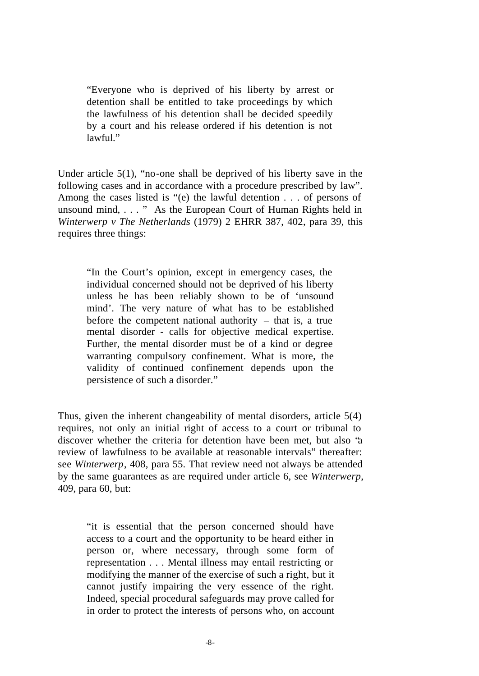"Everyone who is deprived of his liberty by arrest or detention shall be entitled to take proceedings by which the lawfulness of his detention shall be decided speedily by a court and his release ordered if his detention is not  $lawful$ ."

Under article 5(1), "no-one shall be deprived of his liberty save in the following cases and in accordance with a procedure prescribed by law". Among the cases listed is "(e) the lawful detention . . . of persons of unsound mind, . . . " As the European Court of Human Rights held in *Winterwerp v The Netherlands* (1979) 2 EHRR 387, 402, para 39, this requires three things:

"In the Court's opinion, except in emergency cases, the individual concerned should not be deprived of his liberty unless he has been reliably shown to be of 'unsound mind'. The very nature of what has to be established before the competent national authority  $-$  that is, a true mental disorder - calls for objective medical expertise. Further, the mental disorder must be of a kind or degree warranting compulsory confinement. What is more, the validity of continued confinement depends upon the persistence of such a disorder."

Thus, given the inherent changeability of mental disorders, article 5(4) requires, not only an initial right of access to a court or tribunal to discover whether the criteria for detention have been met, but also "a review of lawfulness to be available at reasonable intervals" thereafter: see *Winterwerp*, 408, para 55. That review need not always be attended by the same guarantees as are required under article 6, see *Winterwerp*, 409, para 60, but:

"it is essential that the person concerned should have access to a court and the opportunity to be heard either in person or, where necessary, through some form of representation . . . Mental illness may entail restricting or modifying the manner of the exercise of such a right, but it cannot justify impairing the very essence of the right. Indeed, special procedural safeguards may prove called for in order to protect the interests of persons who, on account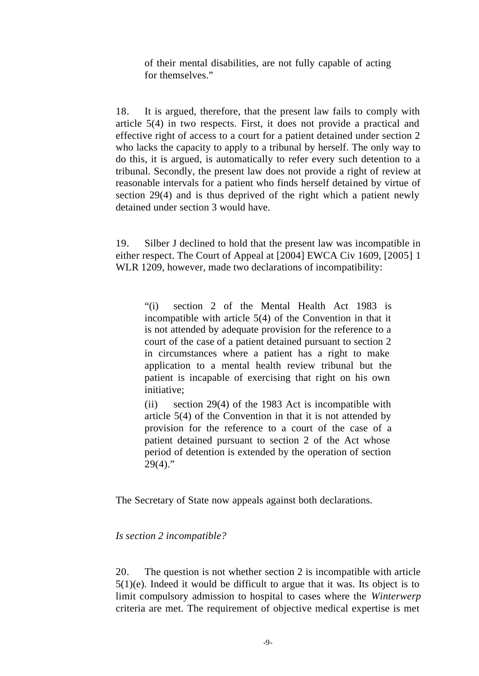of their mental disabilities, are not fully capable of acting for themselves."

18. It is argued, therefore, that the present law fails to comply with article 5(4) in two respects. First, it does not provide a practical and effective right of access to a court for a patient detained under section 2 who lacks the capacity to apply to a tribunal by herself. The only way to do this, it is argued, is automatically to refer every such detention to a tribunal. Secondly, the present law does not provide a right of review at reasonable intervals for a patient who finds herself detained by virtue of section 29(4) and is thus deprived of the right which a patient newly detained under section 3 would have.

19. Silber J declined to hold that the present law was incompatible in either respect. The Court of Appeal at [2004] EWCA Civ 1609, [2005] 1 WLR 1209, however, made two declarations of incompatibility:

"(i) section 2 of the Mental Health Act 1983 is incompatible with article 5(4) of the Convention in that it is not attended by adequate provision for the reference to a court of the case of a patient detained pursuant to section 2 in circumstances where a patient has a right to make application to a mental health review tribunal but the patient is incapable of exercising that right on his own initiative;

(ii) section 29(4) of the 1983 Act is incompatible with article 5(4) of the Convention in that it is not attended by provision for the reference to a court of the case of a patient detained pursuant to section 2 of the Act whose period of detention is extended by the operation of section  $29(4)$ ."

The Secretary of State now appeals against both declarations.

#### *Is section 2 incompatible?*

20. The question is not whether section 2 is incompatible with article 5(1)(e). Indeed it would be difficult to argue that it was. Its object is to limit compulsory admission to hospital to cases where the *Winterwerp* criteria are met. The requirement of objective medical expertise is met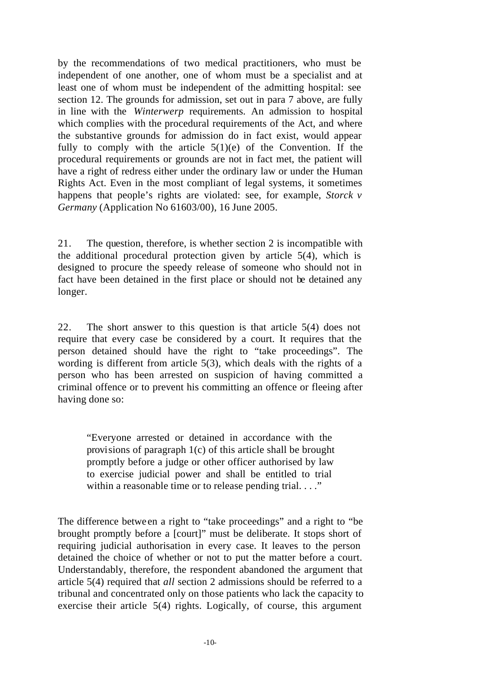by the recommendations of two medical practitioners, who must be independent of one another, one of whom must be a specialist and at least one of whom must be independent of the admitting hospital: see section 12. The grounds for admission, set out in para 7 above, are fully in line with the *Winterwerp* requirements. An admission to hospital which complies with the procedural requirements of the Act, and where the substantive grounds for admission do in fact exist, would appear fully to comply with the article  $5(1)(e)$  of the Convention. If the procedural requirements or grounds are not in fact met, the patient will have a right of redress either under the ordinary law or under the Human Rights Act. Even in the most compliant of legal systems, it sometimes happens that people's rights are violated: see, for example, *Storck v Germany* (Application No 61603/00), 16 June 2005.

21. The question, therefore, is whether section 2 is incompatible with the additional procedural protection given by article 5(4), which is designed to procure the speedy release of someone who should not in fact have been detained in the first place or should not be detained any longer.

22. The short answer to this question is that article 5(4) does not require that every case be considered by a court. It requires that the person detained should have the right to "take proceedings". The wording is different from article 5(3), which deals with the rights of a person who has been arrested on suspicion of having committed a criminal offence or to prevent his committing an offence or fleeing after having done so:

"Everyone arrested or detained in accordance with the provisions of paragraph 1(c) of this article shall be brought promptly before a judge or other officer authorised by law to exercise judicial power and shall be entitled to trial within a reasonable time or to release pending trial. . . ."

The difference betwe en a right to "take proceedings" and a right to "be brought promptly before a [court]" must be deliberate. It stops short of requiring judicial authorisation in every case. It leaves to the person detained the choice of whether or not to put the matter before a court. Understandably, therefore, the respondent abandoned the argument that article 5(4) required that *all* section 2 admissions should be referred to a tribunal and concentrated only on those patients who lack the capacity to exercise their article 5(4) rights. Logically, of course, this argument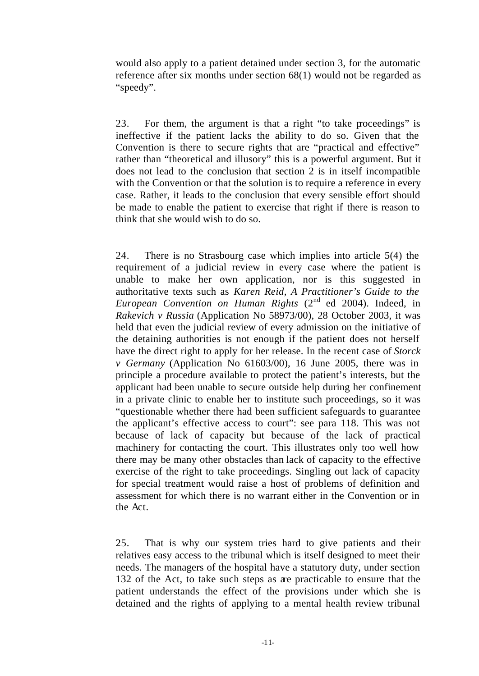would also apply to a patient detained under section 3, for the automatic reference after six months under section 68(1) would not be regarded as "speedy".

23. For them, the argument is that a right "to take proceedings" is ineffective if the patient lacks the ability to do so. Given that the Convention is there to secure rights that are "practical and effective" rather than "theoretical and illusory" this is a powerful argument. But it does not lead to the conclusion that section 2 is in itself incompatible with the Convention or that the solution is to require a reference in every case. Rather, it leads to the conclusion that every sensible effort should be made to enable the patient to exercise that right if there is reason to think that she would wish to do so.

24. There is no Strasbourg case which implies into article 5(4) the requirement of a judicial review in every case where the patient is unable to make her own application, nor is this suggested in authoritative texts such as *Karen Reid, A Practitioner's Guide to the European Convention on Human Rights* (2<sup>nd</sup> ed 2004). Indeed, in *Rakevich v Russia* (Application No 58973/00), 28 October 2003, it was held that even the judicial review of every admission on the initiative of the detaining authorities is not enough if the patient does not herself have the direct right to apply for her release. In the recent case of *Storck v Germany* (Application No 61603/00), 16 June 2005, there was in principle a procedure available to protect the patient's interests, but the applicant had been unable to secure outside help during her confinement in a private clinic to enable her to institute such proceedings, so it was "questionable whether there had been sufficient safeguards to guarantee the applicant's effective access to court": see para 118. This was not because of lack of capacity but because of the lack of practical machinery for contacting the court. This illustrates only too well how there may be many other obstacles than lack of capacity to the effective exercise of the right to take proceedings. Singling out lack of capacity for special treatment would raise a host of problems of definition and assessment for which there is no warrant either in the Convention or in the Act.

25. That is why our system tries hard to give patients and their relatives easy access to the tribunal which is itself designed to meet their needs. The managers of the hospital have a statutory duty, under section 132 of the Act, to take such steps as are practicable to ensure that the patient understands the effect of the provisions under which she is detained and the rights of applying to a mental health review tribunal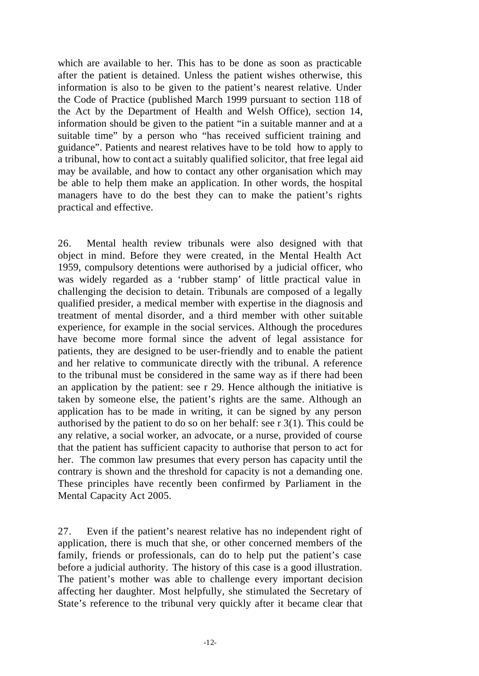which are available to her. This has to be done as soon as practicable after the patient is detained. Unless the patient wishes otherwise, this information is also to be given to the patient's nearest relative. Under the Code of Practice (published March 1999 pursuant to section 118 of the Act by the Department of Health and Welsh Office), section 14, information should be given to the patient "in a suitable manner and at a suitable time" by a person who "has received sufficient training and guidance". Patients and nearest relatives have to be told how to apply to a tribunal, how to cont act a suitably qualified solicitor, that free legal aid may be available, and how to contact any other organisation which may be able to help them make an application. In other words, the hospital managers have to do the best they can to make the patient's rights practical and effective.

26. Mental health review tribunals were also designed with that object in mind. Before they were created, in the Mental Health Act 1959, compulsory detentions were authorised by a judicial officer, who was widely regarded as a 'rubber stamp' of little practical value in challenging the decision to detain. Tribunals are composed of a legally qualified presider, a medical member with expertise in the diagnosis and treatment of mental disorder, and a third member with other suitable experience, for example in the social services. Although the procedures have become more formal since the advent of legal assistance for patients, they are designed to be user-friendly and to enable the patient and her relative to communicate directly with the tribunal. A reference to the tribunal must be considered in the same way as if there had been an application by the patient: see r 29. Hence although the initiative is taken by someone else, the patient's rights are the same. Although an application has to be made in writing, it can be signed by any person authorised by the patient to do so on her behalf: see r 3(1). This could be any relative, a social worker, an advocate, or a nurse, provided of course that the patient has sufficient capacity to authorise that person to act for her. The common law presumes that every person has capacity until the contrary is shown and the threshold for capacity is not a demanding one. These principles have recently been confirmed by Parliament in the Mental Capacity Act 2005.

27. Even if the patient's nearest relative has no independent right of application, there is much that she, or other concerned members of the family, friends or professionals, can do to help put the patient's case before a judicial authority. The history of this case is a good illustration. The patient's mother was able to challenge every important decision affecting her daughter. Most helpfully, she stimulated the Secretary of State's reference to the tribunal very quickly after it became clear that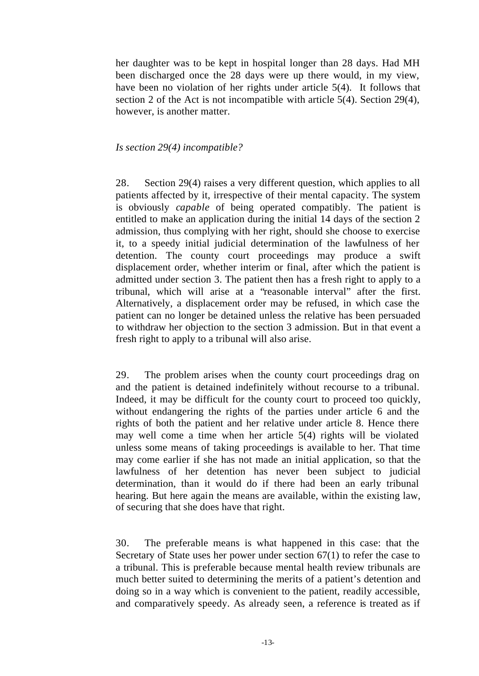her daughter was to be kept in hospital longer than 28 days. Had MH been discharged once the 28 days were up there would, in my view, have been no violation of her rights under article 5(4). It follows that section 2 of the Act is not incompatible with article 5(4). Section 29(4), however, is another matter.

#### *Is section 29(4) incompatible?*

28. Section 29(4) raises a very different question, which applies to all patients affected by it, irrespective of their mental capacity. The system is obviously *capable* of being operated compatibly. The patient is entitled to make an application during the initial 14 days of the section 2 admission, thus complying with her right, should she choose to exercise it, to a speedy initial judicial determination of the lawfulness of her detention. The county court proceedings may produce a swift displacement order, whether interim or final, after which the patient is admitted under section 3. The patient then has a fresh right to apply to a tribunal, which will arise at a "reasonable interval" after the first. Alternatively, a displacement order may be refused, in which case the patient can no longer be detained unless the relative has been persuaded to withdraw her objection to the section 3 admission. But in that event a fresh right to apply to a tribunal will also arise.

29. The problem arises when the county court proceedings drag on and the patient is detained indefinitely without recourse to a tribunal. Indeed, it may be difficult for the county court to proceed too quickly, without endangering the rights of the parties under article 6 and the rights of both the patient and her relative under article 8. Hence there may well come a time when her article 5(4) rights will be violated unless some means of taking proceedings is available to her. That time may come earlier if she has not made an initial application, so that the lawfulness of her detention has never been subject to judicial determination, than it would do if there had been an early tribunal hearing. But here again the means are available, within the existing law, of securing that she does have that right.

30. The preferable means is what happened in this case: that the Secretary of State uses her power under section 67(1) to refer the case to a tribunal. This is preferable because mental health review tribunals are much better suited to determining the merits of a patient's detention and doing so in a way which is convenient to the patient, readily accessible, and comparatively speedy. As already seen, a reference is treated as if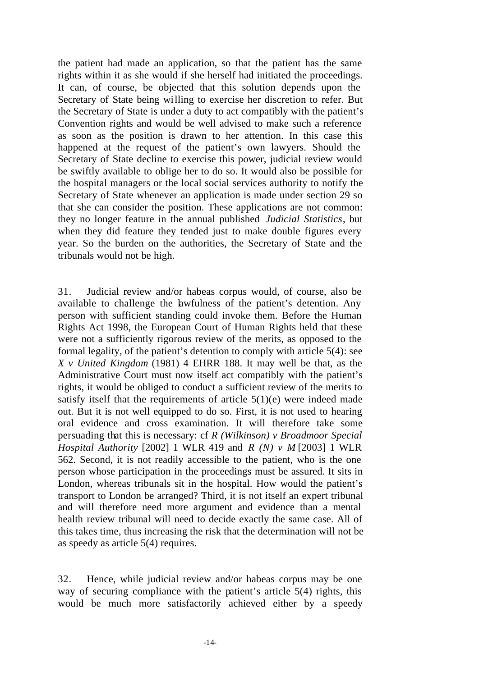the patient had made an application, so that the patient has the same rights within it as she would if she herself had initiated the proceedings. It can, of course, be objected that this solution depends upon the Secretary of State being willing to exercise her discretion to refer. But the Secretary of State is under a duty to act compatibly with the patient's Convention rights and would be well advised to make such a reference as soon as the position is drawn to her attention. In this case this happened at the request of the patient's own lawyers. Should the Secretary of State decline to exercise this power, judicial review would be swiftly available to oblige her to do so. It would also be possible for the hospital managers or the local social services authority to notify the Secretary of State whenever an application is made under section 29 so that she can consider the position. These applications are not common: they no longer feature in the annual published *Judicial Statistics*, but when they did feature they tended just to make double figures every year. So the burden on the authorities, the Secretary of State and the tribunals would not be high.

31. Judicial review and/or habeas corpus would, of course, also be available to challenge the lawfulness of the patient's detention. Any person with sufficient standing could invoke them. Before the Human Rights Act 1998, the European Court of Human Rights held that these were not a sufficiently rigorous review of the merits, as opposed to the formal legality, of the patient's detention to comply with article 5(4): see *X v United Kingdom* (1981) 4 EHRR 188. It may well be that, as the Administrative Court must now itself act compatibly with the patient's rights, it would be obliged to conduct a sufficient review of the merits to satisfy itself that the requirements of article  $5(1)(e)$  were indeed made out. But it is not well equipped to do so. First, it is not used to hearing oral evidence and cross examination. It will therefore take some persuading that this is necessary: cf *R (Wilkinson) v Broadmoor Special Hospital Authority* [2002] 1 WLR 419 and *R (N) v M* [2003] 1 WLR 562. Second, it is not readily accessible to the patient, who is the one person whose participation in the proceedings must be assured. It sits in London, whereas tribunals sit in the hospital. How would the patient's transport to London be arranged? Third, it is not itself an expert tribunal and will therefore need more argument and evidence than a mental health review tribunal will need to decide exactly the same case. All of this takes time, thus increasing the risk that the determination will not be as speedy as article 5(4) requires.

32. Hence, while judicial review and/or habeas corpus may be one way of securing compliance with the patient's article 5(4) rights, this would be much more satisfactorily achieved either by a speedy